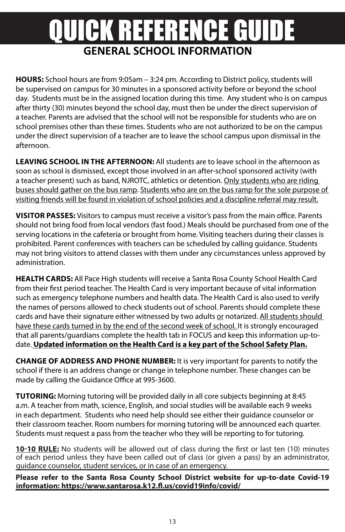# **GENERAL SCHOOL INFORMATION** QUICK REFERENCE GUIDE

**HOURS:** School hours are from 9:05am – 3:24 pm. According to District policy, students will be supervised on campus for 30 minutes in a sponsored activity before or beyond the school day. Students must be in the assigned location during this time. Any student who is on campus after thirty (30) minutes beyond the school day, must then be under the direct supervision of a teacher. Parents are advised that the school will not be responsible for students who are on school premises other than these times. Students who are not authorized to be on the campus under the direct supervision of a teacher are to leave the school campus upon dismissal in the afternoon.

**LEAVING SCHOOL IN THE AFTERNOON:** All students are to leave school in the afternoon as soon as school is dismissed, except those involved in an after-school sponsored activity (with a teacher present) such as band, NJROTC, athletics or detention. Only students who are riding buses should gather on the bus ramp. Students who are on the bus ramp for the sole purpose of visiting friends will be found in violation of school policies and a discipline referral may result.

**VISITOR PASSES:** Visitors to campus must receive a visitor's pass from the main office. Parents should not bring food from local vendors (fast food.) Meals should be purchased from one of the serving locations in the cafeteria or brought from home. Visiting teachers during their classes is prohibited. Parent conferences with teachers can be scheduled by calling guidance. Students may not bring visitors to attend classes with them under any circumstances unless approved by administration.

**HEALTH CARDS:** All Pace High students will receive a Santa Rosa County School Health Card from their first period teacher. The Health Card is very important because of vital information such as emergency telephone numbers and health data. The Health Card is also used to verify the names of persons allowed to check students out of school. Parents should complete these cards and have their signature either witnessed by two adults or notarized. All students should have these cards turned in by the end of the second week of school. It is strongly encouraged that all parents/guardians complete the health tab in FOCUS and keep this information up-todate. **Updated information on the Health Card is a key part of the School Safety Plan.**

**CHANGE OF ADDRESS AND PHONE NUMBER:** It is very important for parents to notify the school if there is an address change or change in telephone number. These changes can be made by calling the Guidance Office at 995-3600.

**TUTORING:** Morning tutoring will be provided daily in all core subjects beginning at 8:45 a.m. A teacher from math, science, English, and social studies will be available each 9 weeks in each department. Students who need help should see either their guidance counselor or their classroom teacher. Room numbers for morning tutoring will be announced each quarter. Students must request a pass from the teacher who they will be reporting to for tutoring.

**10-10 RULE:** No students will be allowed out of class during the first or last ten (10) minutes of each period unless they have been called out of class (or given a pass) by an administrator, guidance counselor, student services, or in case of an emergency.

**Please refer to the Santa Rosa County School District website for up-to-date Covid-19 information: https://www.santarosa.k12.fl.us/covid19info/covid/**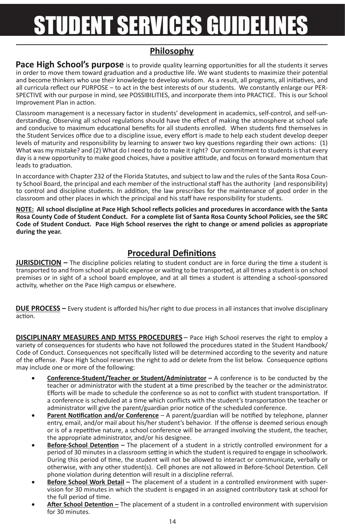# STUDENT SERVICES GUIDELIN

### **Philosophy**

**Pace High School's purpose** is to provide quality learning opportunities for all the students it serves in order to move them toward graduation and a productive life. We want students to maximize their potential and become thinkers who use their knowledge to develop wisdom. As a result, all programs, all initiatives, and all curricula reflect our PURPOSE – to act in the best interests of our students. We constantly enlarge our PER-SPECTIVE with our purpose in mind, see POSSIBILITIES, and incorporate them into PRACTICE. This is our School Improvement Plan in action.

Classroom management is a necessary factor in students' development in academics, self-control, and self-understanding. Observing all school regulations should have the effect of making the atmosphere at school safe and conducive to maximum educational benefits for all students enrolled. When students find themselves in the Student Services office due to a discipline issue, every effort is made to help each student develop deeper levels of maturity and responsibility by learning to answer two key questions regarding their own actions: (1) What was my mistake? and (2) What do I need to do to make it right? Our commitment to students is that every day is a new opportunity to make good choices, have a positive attitude, and focus on forward momentum that leads to graduation.

In accordance with Chapter 232 of the Florida Statutes, and subject to law and the rules of the Santa Rosa County School Board, the principal and each member of the instructional staff has the authority (and responsibility) to control and discipline students. In addition, the law prescribes for the maintenance of good order in the classroom and other places in which the principal and his staff have responsibility for students.

**NOTE: All school discipline at Pace High School reflects policies and procedures in accordance with the Santa Rosa County Code of Student Conduct. For a complete list of Santa Rosa County School Policies, see the SRC Code of Student Conduct. Pace High School reserves the right to change or amend policies as appropriate during the year.**

## **Procedural Definitions**

**JURISDICTION –** The discipline policies relating to student conduct are in force during the time a student is transported to and from school at public expense or waiting to be transported, at all times a student is on school premises or in sight of a school board employee, and at all times a student is attending a school-sponsored activity, whether on the Pace High campus or elsewhere.

**DUE PROCESS –** Every student is afforded his/her right to due process in all instances that involve disciplinary action.

**DISCIPLINARY MEASURES AND MTSS PROCEDURES** – Pace High School reserves the right to employ a variety of consequences for students who have not followed the procedures stated in the Student Handbook/ Code of Conduct. Consequences not specifically listed will be determined according to the severity and nature of the offense. Pace High School reserves the right to add or delete from the list below. Consequence options may include one or more of the following:

- **Conference-Student/Teacher or Student/Administrator –** A conference is to be conducted by the teacher or administrator with the student at a time prescribed by the teacher or the administrator. Efforts will be made to schedule the conference so as not to conflict with student transportation. If a conference is scheduled at a time which conflicts with the student's transportation the teacher or administrator will give the parent/guardian prior notice of the scheduled conference.
- **Parent Notification and/or Conference** A parent/guardian will be notified by telephone, planner entry, email, and/or mail about his/her student's behavior. If the offense is deemed serious enough or is of a repetitive nature, a school conference will be arranged involving the student, the teacher, the appropriate administrator, and/or his designee.
- **Before-School Detention** The placement of a student in a strictly controlled environment for a period of 30 minutes in a classroom setting in which the student is required to engage in schoolwork. During this period of time, the student will not be allowed to interact or communicate, verbally or otherwise, with any other student(s). Cell phones are not allowed in Before-School Detention. Cell phone violation during detention will result in a discipline referral.
- **Before School Work Detail –** The placement of a student in a controlled environment with supervision for 30 minutes in which the student is engaged in an assigned contributory task at school for the full period of time.
- **After School Detention –** The placement of a student in a controlled environment with supervision for 30 minutes.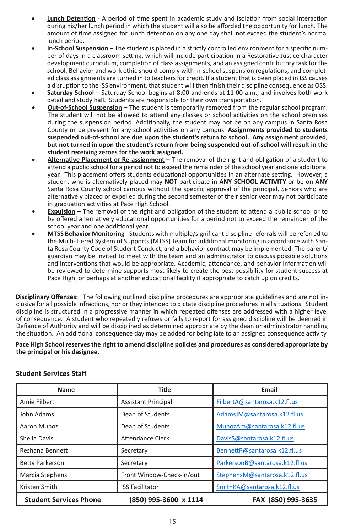- **Lunch Detention** A period of time spent in academic study and isolation from social interaction during his/her lunch period in which the student will also be afforded the opportunity for lunch. The amount of time assigned for lunch detention on any one day shall not exceed the student's normal lunch period.
- **In-School Suspension** The student is placed in a strictly controlled environment for a specific number of days in a classroom setting, which will include participation in a Restorative Justice character development curriculum, completion of class assignments, and an assigned contributory task for the school. Behavior and work ethic should comply with in-school suspension regulations, and completed class assignments are turned in to teachers for credit. If a student that is been placed in ISS causes a disruption to the ISS environment, that student will then finish their discipline consequence as OSS.
- Saturday School Saturday School begins at 8:00 and ends at 11:00 a.m., and involves both work detail and study hall. Students are responsible for their own transportation.
- **Out-of-School Suspension** The student is temporarily removed from the regular school program. The student will not be allowed to attend any classes or school activities on the school premises during the suspension period. Additionally, the student may not be on any campus in Santa Rosa County or be present for any school activities on any campus. **Assignments provided to students suspended out-of-school are due upon the student's return to school. Any assignment provided, but not turned in upon the student's return from being suspended out-of-school will result in the student receiving zeroes for the work assigned.**
- • **Alternative Placement or Re-assignment –** The removal of the right and obligation of a student to attend a public school for a period not to exceed the remainder of the school year and one additional year. This placement offers students educational opportunities in an alternate setting. However, a student who is alternatively placed may **NOT** participate in **ANY SCHOOL ACTIVITY** or be on **ANY** Santa Rosa County school campus without the specific approval of the principal. Seniors who are alternatively placed or expelled during the second semester of their senior year may not participate in graduation activities at Pace High School.
- **Expulsion –** The removal of the right and obligation of the student to attend a public school or to be offered alternatively educational opportunities for a period not to exceed the remainder of the school year and one additional year.
- **MTSS Behavior Monitoring** Students with multiple/significant discipline referrals will be referred to the Multi-Tiered System of Supports (MTSS) Team for additional monitoring in accordance with Santa Rosa County Code of Student Conduct, and a behavior contract may be implemented. The parent/ guardian may be invited to meet with the team and an administrator to discuss possible solutions and interventions that would be appropriate. Academic, attendance, and behavior information will be reviewed to determine supports most likely to create the best possibility for student success at Pace High, or perhaps at another educational facility if appropriate to catch up on credits.

**Disciplinary Offenses:** The following outlined discipline procedures are appropriate guidelines and are not inclusive for all possible infractions, nor or they intended to dictate discipline procedures in all situations. Student discipline is structured in a progressive manner in which repeated offenses are addressed with a higher level of consequence. A student who repeatedly refuses or fails to report for assigned discipline will be deemed in Defiance of Authority and will be disciplined as determined appropriate by the dean or administrator handling the situation. An additional consequence day may be added for being late to an assigned consequence activity.

**Pace High School reserves the right to amend discipline policies and procedures as considered appropriate by the principal or his designee.** 

| <b>Name</b>                   | <b>Title</b>               | Email                          |
|-------------------------------|----------------------------|--------------------------------|
| Amie Filbert                  | <b>Assistant Principal</b> | FilbertA@santarosa.k12.fl.us   |
| John Adams                    | Dean of Students           | AdamsJM@santarosa.k12.fl.us    |
| Aaron Munoz                   | Dean of Students           | MunozAm@santarosa.k12.fl.us    |
| Shelia Davis                  | Attendance Clerk           | DavisS@santarosa.k12.fl.us     |
| Reshana Bennett               | Secretary                  | BennettR@santarosa.k12.fl.us   |
| <b>Betty Parkerson</b>        | Secretary                  | ParkersonB@santarosa.k12.fl.us |
| Marcia Stephens               | Front Window-Check-in/out  | StephensM@santarosa.k12.fl.us  |
| Kristen Smith                 | <b>ISS Facilitator</b>     | SmithKA@santarosa.k12.fl.us    |
| <b>Student Services Phone</b> | (850) 995-3600 x 1114      | FAX (850) 995-3635             |

#### **Student Services Staff**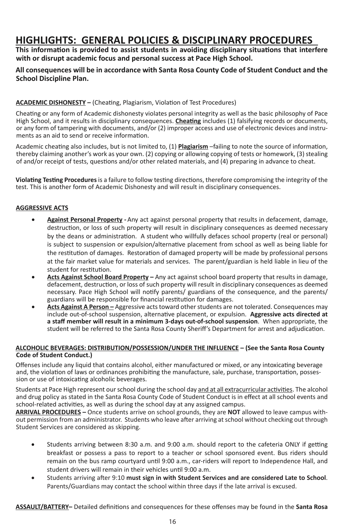# **HIGHLIGHTS: GENERAL POLICIES & DISCIPLINARY PROCEDURES**

**This information is provided to assist students in avoiding disciplinary situations that interfere with or disrupt academic focus and personal success at Pace High School.** 

#### **All consequences will be in accordance with Santa Rosa County Code of Student Conduct and the School Discipline Plan.**

#### **ACADEMIC DISHONESTY –** (Cheating, Plagiarism, Violation of Test Procedures)

Cheating or any form of Academic dishonesty violates personal integrity as well as the basic philosophy of Pace High School, and it results in disciplinary consequences. **Cheating** includes (1) falsifying records or documents, or any form of tampering with documents, and/or (2) improper access and use of electronic devices and instruments as an aid to send or receive information.

Academic cheating also includes, but is not limited to, (1) **Plagiarism** –failing to note the source of information, thereby claiming another's work as your own. (2) copying or allowing copying of tests or homework, (3) stealing of and/or receipt of tests, questions and/or other related materials, and (4) preparing in advance to cheat.

**Violating Testing Procedures** is a failure to follow testing directions, therefore compromising the integrity of the test. This is another form of Academic Dishonesty and will result in disciplinary consequences.

#### **AGGRESSIVE ACTS**

- • **Against Personal Property -** Any act against personal property that results in defacement, damage, destruction, or loss of such property will result in disciplinary consequences as deemed necessary by the deans or administration. A student who willfully defaces school property (real or personal) is subject to suspension or expulsion/alternative placement from school as well as being liable for the restitution of damages. Restoration of damaged property will be made by professional persons at the fair market value for materials and services. The parent/guardian is held liable in lieu of the student for restitution.
- Acts Against School Board Property Any act against school board property that results in damage, defacement, destruction, or loss of such property will result in disciplinary consequences as deemed necessary. Pace High School will notify parents/ guardians of the consequence, and the parents/ guardians will be responsible for financial restitution for damages.
- **Acts Against A Person** Aggressive acts toward other students are not tolerated. Consequences may include out-of-school suspension, alternative placement, or expulsion. **Aggressive acts directed at a staff member will result in a minimum 3-days out-of-school suspension**. When appropriate, the student will be referred to the Santa Rosa County Sheriff's Department for arrest and adjudication.

#### **ALCOHOLIC BEVERAGES: DISTRIBUTION/POSSESSION/UNDER THE INFLUENCE – (See the Santa Rosa County Code of Student Conduct.)**

Offenses include any liquid that contains alcohol, either manufactured or mixed, or any intoxicating beverage and, the violation of laws or ordinances prohibiting the manufacture, sale, purchase, transportation, possession or use of intoxicating alcoholic beverages.

Students at Pace High represent our school during the school day and at all extracurricular activities. The alcohol and drug policy as stated in the Santa Rosa County Code of Student Conduct is in effect at all school events and school-related activities, as well as during the school day at any assigned campus.

**ARRIVAL PROCEDURES –** Once students arrive on school grounds, they are **NOT** allowed to leave campus without permission from an administrator. Students who leave after arriving at school without checking out through Student Services are considered as skipping.

- • Students arriving between 8:30 a.m. and 9:00 a.m. should report to the cafeteria ONLY if getting breakfast or possess a pass to report to a teacher or school sponsored event. Bus riders should remain on the bus ramp courtyard until 9:00 a.m., car-riders will report to Independence Hall, and student drivers will remain in their vehicles until 9:00 a.m.
- Students arriving after 9:10 must sign in with Student Services and are considered Late to School. Parents/Guardians may contact the school within three days if the late arrival is excused.

**ASSAULT/BATTERY–** Detailed definitions and consequences for these offenses may be found in the **Santa Rosa**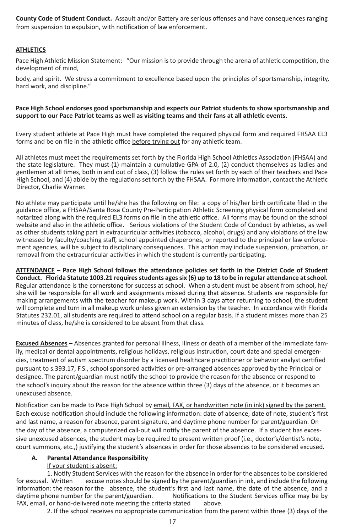**County Code of Student Conduct.** Assault and/or Battery are serious offenses and have consequences ranging from suspension to expulsion, with notification of law enforcement.

#### **ATHLETICS**

Pace High Athletic Mission Statement: "Our mission is to provide through the arena of athletic competition, the development of mind,

body, and spirit. We stress a commitment to excellence based upon the principles of sportsmanship, integrity, hard work, and discipline."

#### **Pace High School endorses good sportsmanship and expects our Patriot students to show sportsmanship and support to our Pace Patriot teams as well as visiting teams and their fans at all athletic events.**

Every student athlete at Pace High must have completed the required physical form and required FHSAA EL3 forms and be on file in the athletic office before trying out for any athletic team.

All athletes must meet the requirements set forth by the Florida High School Athletics Association (FHSAA) and the state legislature. They must (1) maintain a cumulative GPA of 2.0, (2) conduct themselves as ladies and gentlemen at all times, both in and out of class, (3) follow the rules set forth by each of their teachers and Pace High School, and (4) abide by the regulations set forth by the FHSAA. For more information, contact the Athletic Director, Charlie Warner.

No athlete may participate until he/she has the following on file: a copy of his/her birth certificate filed in the guidance office, a FHSAA/Santa Rosa County Pre-Participation Athletic Screening physical form completed and notarized along with the required EL3 forms on file in the athletic office. All forms may be found on the school website and also in the athletic office. Serious violations of the Student Code of Conduct by athletes, as well as other students taking part in extracurricular activities (tobacco, alcohol, drugs) and any violations of the law witnessed by faculty/coaching staff, school appointed chaperones, or reported to the principal or law enforcement agencies, will be subject to disciplinary consequences. This action may include suspension, probation, or removal from the extracurricular activities in which the student is currently participating.

**ATTENDANCE – Pace High School follows the attendance policies set forth in the District Code of Student Conduct. Florida Statute 1003.21 requires students ages six (6) up to 18 to be in regular attendance at school.** Regular attendance is the cornerstone for success at school. When a student must be absent from school, he/ she will be responsible for all work and assignments missed during that absence. Students are responsible for making arrangements with the teacher for makeup work. Within 3 days after returning to school, the student will complete and turn in all makeup work unless given an extension by the teacher. In accordance with Florida Statutes 232.01, all students are required to attend school on a regular basis. If a student misses more than 25 minutes of class, he/she is considered to be absent from that class.

**Excused Absences** – Absences granted for personal illness, illness or death of a member of the immediate family, medical or dental appointments, religious holidays, religious instruction, court date and special emergencies, treatment of autism spectrum disorder by a licensed healthcare practitioner or behavior analyst certified pursuant to s.393.17, F.S., school sponsored activities or pre-arranged absences approved by the Principal or designee. The parent/guardian must notify the school to provide the reason for the absence or respond to the school's inquiry about the reason for the absence within three (3) days of the absence, or it becomes an unexcused absence.

Notification can be made to Pace High School by email, FAX, or handwritten note (in ink) signed by the parent. Each excuse notification should include the following information: date of absence, date of note, student's first and last name, a reason for absence, parent signature, and daytime phone number for parent/guardian. On the day of the absence, a computerized call-out will notify the parent of the absence. If a student has excessive unexcused absences, the student may be required to present written proof (i.e., doctor's/dentist's note, court summons, etc.,) justifying the student's absences in order for those absences to be considered excused.

#### **A. Parental Attendance Responsibility**

#### If your student is absent:

1. Notify Student Services with the reason for the absence in order for the absences to be considered excuse notes should be signed by the parent/guardian in ink, and include the following information: the reason for the absence, the student's first and last name, the date of the absence, and a<br>daytime phone number for the parent/guardian. Notifications to the Student Services office may be by Notifications to the Student Services office may be by FAX, email, or hand-delivered note meeting the criteria stated above.

2. If the school receives no appropriate communication from the parent within three (3) days of the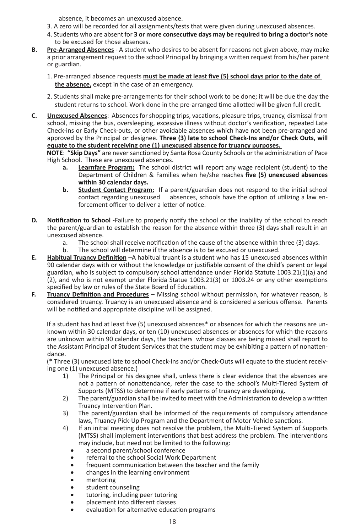absence, it becomes an unexcused absence.

- 3. A zero will be recorded for all assignments/tests that were given during unexcused absences.
- 4. Students who are absent for **3 or more consecutive days may be required to bring a doctor's note** to be excused for those absences.
- **B. Pre-Arranged Absences** A student who desires to be absent for reasons not given above, may make a prior arrangement request to the school Principal by bringing a written request from his/her parent or guardian.
	- 1. Pre-arranged absence requests **must be made at least five (5) school days prior to the date of the absence,** except in the case of an emergency.
	- 2. Students shall make pre-arrangements for their school work to be done; it will be due the day the student returns to school. Work done in the pre-arranged time allotted will be given full credit.
- **C. Unexcused Absences**: Absences for shopping trips, vacations, pleasure trips, truancy, dismissal from school, missing the bus, oversleeping, excessive illness without doctor's verification, repeated Late Check-ins or Early Check-outs, or other avoidable absences which have not been pre-arranged and approved by the Principal or designee. **Three (3) late to school Check-Ins and/or Check Outs, will equate to the student receiving one (1) unexcused absence for truancy purposes.**

**NOTE**: **"Skip Days"** are never sanctioned by Santa Rosa County Schools or the administration of Pace High School. These are unexcused absences.

- **a. Learnfare Program:** The school district will report any wage recipient (student) to the Department of Children & Families when he/she reaches **five (5) unexcused absences within 30 calendar days.**
- **b. Student Contact Program:** If a parent/guardian does not respond to the initial school contact regarding unexcused absences, schools have the option of utilizing a law enabsences, schools have the option of utilizing a law enforcement officer to deliver a letter of notice.
- **D. Notification to School -**Failure to properly notify the school or the inability of the school to reach the parent/guardian to establish the reason for the absence within three (3) days shall result in an unexcused absence.
	- a. The school shall receive notification of the cause of the absence within three (3) days.
	- b. The school will determine if the absence is to be excused or unexcused.
- **E. Habitual Truancy Definition** –A habitual truant is a student who has 15 unexcused absences within 90 calendar days with or without the knowledge or justifiable consent of the child's parent or legal guardian, who is subject to compulsory school attendance under Florida Statute 1003.21(1)(a) and (2), and who is not exempt under Florida Statue 1003.21(3) or 1003.24 or any other exemptions specified by law or rules of the State Board of Education.
- **F. Truancy Definition and Procedures** Missing school without permission, for whatever reason, is considered truancy. Truancy is an unexcused absence and is considered a serious offense. Parents will be notified and appropriate discipline will be assigned.

If a student has had at least five (5) unexcused absences\* or absences for which the reasons are unknown within 30 calendar days, or ten (10) unexcused absences or absences for which the reasons are unknown within 90 calendar days, the teachers whose classes are being missed shall report to the Assistant Principal of Student Services that the student may be exhibiting a pattern of nonattendance.

(\* Three (3) unexcused late to school Check-Ins and/or Check-Outs will equate to the student receiving one (1) unexcused absence.)

- 1) The Principal or his designee shall, unless there is clear evidence that the absences are not a pattern of nonattendance, refer the case to the school's Multi-Tiered System of Supports (MTSS) to determine if early patterns of truancy are developing.
- 2) The parent/guardian shall be invited to meet with the Administration to develop a written Truancy Intervention Plan.
- 3) The parent/guardian shall be informed of the requirements of compulsory attendance laws, Truancy Pick-Up Program and the Department of Motor Vehicle sanctions.
- 4) If an initial meeting does not resolve the problem, the Multi-Tiered System of Supports (MTSS) shall implement interventions that best address the problem. The interventions may include, but need not be limited to the following:
	- a second parent/school conference
	- • referral to the school Social Work Department
	- frequent communication between the teacher and the family
	- • changes in the learning environment
	- mentoring
	- • student counseling
	- tutoring, including peer tutoring
	- placement into different classes
	- evaluation for alternative education programs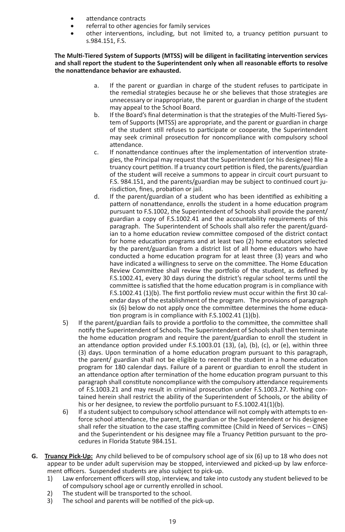- • attendance contracts
- • referral to other agencies for family services
- other interventions, including, but not limited to, a truancy petition pursuant to s.984.151, F.S.

**The Multi-Tiered System of Supports (MTSS) will be diligent in facilitating intervention services and shall report the student to the Superintendent only when all reasonable efforts to resolve the nonattendance behavior are exhausted.** 

- a. If the parent or guardian in charge of the student refuses to participate in the remedial strategies because he or she believes that those strategies are unnecessary or inappropriate, the parent or guardian in charge of the student may appeal to the School Board.
- b. If the Board's final determination is that the strategies of the Multi-Tiered System of Supports (MTSS) are appropriate, and the parent or guardian in charge of the student still refuses to participate or cooperate, the Superintendent may seek criminal prosecution for noncompliance with compulsory school attendance.
- c. If nonattendance continues after the implementation of intervention strategies, the Principal may request that the Superintendent (or his designee) file a truancy court petition. If a truancy court petition is filed, the parents/guardian of the student will receive a summons to appear in circuit court pursuant to F.S. 984.151, and the parents/guardian may be subject to continued court jurisdiction, fines, probation or jail.
- d. If the parent/guardian of a student who has been identified as exhibiting a pattern of nonattendance, enrolls the student in a home education program pursuant to F.S.1002, the Superintendent of Schools shall provide the parent/ guardian a copy of F.S.1002.41 and the accountability requirements of this paragraph. The Superintendent of Schools shall also refer the parent/guardian to a home education review committee composed of the district contact for home education programs and at least two (2) home educators selected by the parent/guardian from a district list of all home educators who have conducted a home education program for at least three (3) years and who have indicated a willingness to serve on the committee. The Home Education Review Committee shall review the portfolio of the student, as defined by F.S.1002.41, every 30 days during the district's regular school terms until the committee is satisfied that the home education program is in compliance with F.S.1002.41 (1)(b). The first portfolio review must occur within the first 30 calendar days of the establishment of the program. The provisions of paragraph six (6) below do not apply once the committee determines the home education program is in compliance with F.S.1002.41 (1)(b).
- 5) If the parent/guardian fails to provide a portfolio to the committee, the committee shall notify the Superintendent of Schools. The Superintendent of Schools shall then terminate the home education program and require the parent/guardian to enroll the student in an attendance option provided under F.S.1003.01 (13), (a), (b), (c), or (e), within three (3) days. Upon termination of a home education program pursuant to this paragraph, the parent/ guardian shall not be eligible to reenroll the student in a home education program for 180 calendar days. Failure of a parent or guardian to enroll the student in an attendance option after termination of the home education program pursuant to this paragraph shall constitute noncompliance with the compulsory attendance requirements of F.S.1003.21 and may result in criminal prosecution under F.S.1003.27. Nothing contained herein shall restrict the ability of the Superintendent of Schools, or the ability of his or her designee, to review the portfolio pursuant to F.S.1002.41(1)(b).
- 6) If a student subject to compulsory school attendance will not comply with attempts to enforce school attendance, the parent, the guardian or the Superintendent or his designee shall refer the situation to the case staffing committee (Child in Need of Services – CINS) and the Superintendent or his designee may file a Truancy Petition pursuant to the procedures in Florida Statute 984.151.
- **G. Truancy Pick-Up:** Any child believed to be of compulsory school age of six (6) up to 18 who does not appear to be under adult supervision may be stopped, interviewed and picked-up by law enforcement officers. Suspended students are also subject to pick-up.
	- 1) Law enforcement officers will stop, interview, and take into custody any student believed to be of compulsory school age or currently enrolled in school.
	- 2) The student will be transported to the school.
	- 3) The school and parents will be notified of the pick-up.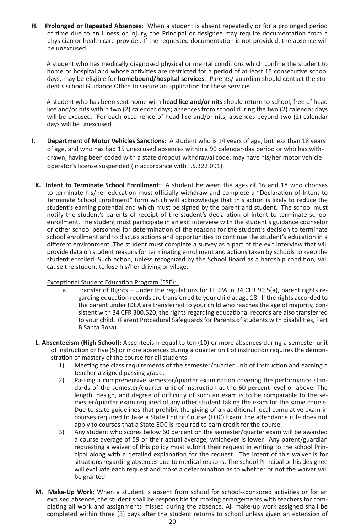**H. Prolonged or Repeated Absences:** When a student is absent repeatedly or for a prolonged period of time due to an illness or injury, the Principal or designee may require documentation from a physician or health care provider. If the requested documentation is not provided, the absence will be unexcused.

A student who has medically diagnosed physical or mental conditions which confine the student to home or hospital and whose activities are restricted for a period of at least 15 consecutive school days, may be eligible for **homebound/hospital services**. Parents/ guardian should contact the student's school Guidance Office to secure an application for these services.

A student who has been sent home with **head lice and/or nits** should return to school, free of head lice and/or nits within two (2) calendar days; absences from school during the two (2) calendar days will be excused. For each occurrence of head lice and/or nits, absences beyond two (2) calendar days will be unexcused.

- **I. Department of Motor Vehicles Sanctions:** A student who is 14 years of age, but less than 18 years of age, and who has had 15 unexcused absences within a 90 calendar-day period or who has withdrawn, having been coded with a state dropout withdrawal code, may have his/her motor vehicle operator's license suspended (in accordance with F.S.322.091).
- **K. Intent to Terminate School Enrollment:** A student between the ages of 16 and 18 who chooses to terminate his/her education must officially withdraw and complete a "Declaration of Intent to Terminate School Enrollment" form which will acknowledge that this action is likely to reduce the student's earning potential and which must be signed by the parent and student. The school must notify the student's parents of receipt of the student's declaration of intent to terminate school enrollment. The student must participate in an exit interview with the student's guidance counselor or other school personnel for determination of the reasons for the student's decision to terminate school enrollment and to discuss actions and opportunities to continue the student's education in a different environment. The student must complete a survey as a part of the exit interview that will provide data on student reasons for terminating enrollment and actions taken by schools to keep the student enrolled. Such action, unless recognized by the School Board as a hardship condition, will cause the student to lose his/her driving privilege.

#### Exceptional Student Education Program (ESE):

- a. Transfer of Rights Under the regulations for FERPA in 34 CFR 99.5(a), parent rights regarding education records are transferred to your child at age 18. If the rights accorded to the parent under IDEA are transferred to your child who reaches the age of majority, consistent with 34 CFR 300.520, the rights regarding educational records are also transferred to your child. (Parent Procedural Safeguards for Parents of students with disabilities, Part B Santa Rosa).
- **L. Absenteeism (High School):** Absenteeism equal to ten (10) or more absences during a semester unit of instruction or five (5) or more absences during a quarter unit of instruction requires the demonstration of mastery of the course for all students:
	- 1) Meeting the class requirements of the semester/quarter unit of instruction and earning a teacher-assigned passing grade.
	- 2) Passing a comprehensive semester/quarter examination covering the performance standards of the semester/quarter unit of instruction at the 60 percent level or above. The length, design, and degree of difficulty of such an exam is to be comparable to the semester/quarter exam required of any other student taking the exam for the same course. Due to state guidelines that prohibit the giving of an additional local cumulative exam in courses required to take a State End of Course (EOC) Exam, the attendance rule does not apply to courses that a State EOC is required to earn credit for the course.
	- 3) Any student who scores below 60 percent on the semester/quarter exam will be awarded a course average of 59 or their actual average, whichever is lower. Any parent/guardian requesting a waiver of this policy must submit their request in writing to the school Principal along with a detailed explanation for the request. The intent of this waiver is for situations regarding absences due to medical reasons. The school Principal or his designee will evaluate each request and make a determination as to whether or not the waiver will be granted.
- **M. Make-Up Work:** When a student is absent from school for school-sponsored activities or for an excused absence, the student shall be responsible for making arrangements with teachers for completing all work and assignments missed during the absence. All make-up work assigned shall be completed within three (3) days after the student returns to school unless given an extension of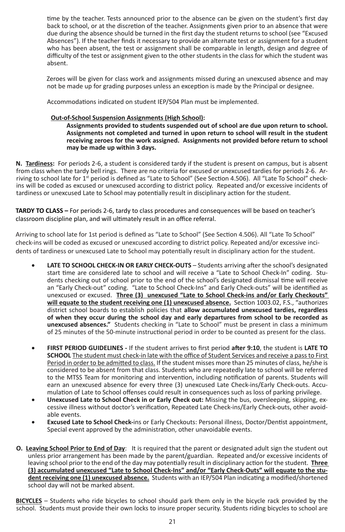time by the teacher. Tests announced prior to the absence can be given on the student's first day back to school, or at the discretion of the teacher. Assignments given prior to an absence that were due during the absence should be turned in the first day the student returns to school (see "Excused Absences"). If the teacher finds it necessary to provide an alternate test or assignment for a student who has been absent, the test or assignment shall be comparable in length, design and degree of difficulty of the test or assignment given to the other students in the class for which the student was absent.

Zeroes will be given for class work and assignments missed during an unexcused absence and may not be made up for grading purposes unless an exception is made by the Principal or designee.

Accommodations indicated on student IEP/504 Plan must be implemented.

#### **Out-of-School Suspension Assignments (High School):**

**Assignments provided to students suspended out of school are due upon return to school. Assignments not completed and turned in upon return to school will result in the student receiving zeroes for the work assigned. Assignments not provided before return to school may be made up within 3 days.**

**N. Tardiness:** For periods 2-6, a student is considered tardy if the student is present on campus, but is absent from class when the tardy bell rings. There are no criteria for excused or unexcused tardies for periods 2-6. Arriving to school late for 1<sup>st</sup> period is defined as "Late to School" (See Section 4.506). All "Late To School" checkins will be coded as excused or unexcused according to district policy. Repeated and/or excessive incidents of tardiness or unexcused Late to School may potentially result in disciplinary action for the student.

**TARDY TO CLASS –** For periods 2-6, tardy to class procedures and consequences will be based on teacher's classroom discipline plan, and will ultimately result in an office referral.

Arriving to school late for 1st period is defined as "Late to School" (See Section 4.506). All "Late To School" check-ins will be coded as excused or unexcused according to district policy. Repeated and/or excessive incidents of tardiness or unexcused Late to School may potentially result in disciplinary action for the student.

- LATE TO SCHOOL CHECK-IN OR EARLY CHECK-OUTS Students arriving after the school's designated start time are considered late to school and will receive a "Late to School Check-In" coding. Students checking out of school prior to the end of the school's designated dismissal time will receive an "Early Check-out" coding. "Late to School Check-Ins" and Early Check-outs" will be identified as unexcused or excused. **Three (3) unexcused "Late to School Check-ins and/or Early Checkouts" will equate to the student receiving one (1) unexcused absence.** Section 1003.02, F.S., "authorizes district school boards to establish policies that **allow accumulated unexcused tardies, regardless of when they occur during the school day and early departures from school to be recorded as unexcused absences."** Students checking in "Late to School" must be present in class a minimum of 25 minutes of the 50-minute instructional period in order to be counted as present for the class.
- • **FIRST PERIOD GUIDELINES -** If the student arrives to first period **after 9:10**, the student is **LATE TO SCHOOL** The student must check-in late with the office of Student Services and receive a pass to First Period in order to be admitted to class. If the student misses more than 25 minutes of class, he/she is considered to be absent from that class. Students who are repeatedly late to school will be referred to the MTSS Team for monitoring and intervention, including notification of parents. Students will earn an unexcused absence for every three (3) unexcused Late Check-ins/Early Check-outs. Accumulation of Late to School offenses could result in consequences such as loss of parking privilege.
- Unexcused Late to School Check in or Early Check out: Missing the bus, oversleeping, skipping, excessive illness without doctor's verification, Repeated Late Check-ins/Early Check-outs, other avoidable events.
- **Excused Late to School Check-**ins or Early Checkouts: Personal illness, Doctor/Dentist appointment, Special event approved by the administration, other unavoidable events.
- **O. Leaving School Prior to End of Day**: It is required that the parent or designated adult sign the student out unless prior arrangement has been made by the parent/guardian. Repeated and/or excessive incidents of leaving school prior to the end of the day may potentially result in disciplinary action for the student. **Three (3) accumulated unexcused "Late to School Check-Ins" and/or "Early Check-Outs" will equate to the student receiving one (1) unexcused absence.** Students with an IEP/504 Plan indicating a modified/shortened school day will not be marked absent.

**BICYCLES** – Students who ride bicycles to school should park them only in the bicycle rack provided by the school. Students must provide their own locks to insure proper security. Students riding bicycles to school are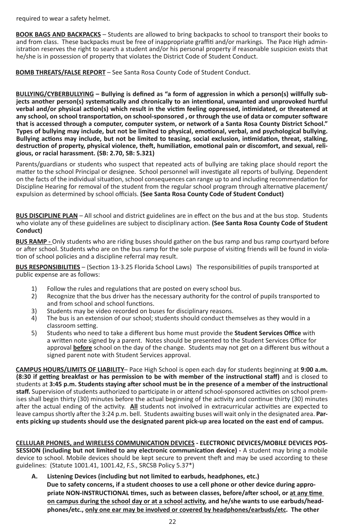required to wear a safety helmet.

**BOOK BAGS AND BACKPACKS** – Students are allowed to bring backpacks to school to transport their books to and from class. These backpacks must be free of inappropriate graffiti and/or markings. The Pace High administration reserves the right to search a student and/or his personal property if reasonable suspicion exists that he/she is in possession of property that violates the District Code of Student Conduct.

**BOMB THREATS/FALSE REPORT** – See Santa Rosa County Code of Student Conduct.

**BULLYING/CYBERBULLYING – Bullying is defined as "a form of aggression in which a person(s) willfully subjects another person(s) systematically and chronically to an intentional, unwanted and unprovoked hurtful verbal and/or physical action(s) which result in the victim feeling oppressed, intimidated, or threatened at any school, on school transportation, on school-sponsored , or through the use of data or computer software that is accessed through a computer, computer system, or network of a Santa Rosa County District School." Types of bullying may include, but not be limited to physical, emotional, verbal, and psychological bullying. Bullying actions may include, but not be limited to teasing, social exclusion, intimidation, threat, stalking, destruction of property, physical violence, theft, humiliation, emotional pain or discomfort, and sexual, religious, or racial harassment. (SB: 2.70, SB: 5.321)**

Parents/guardians or students who suspect that repeated acts of bullying are taking place should report the matter to the school Principal or designee. School personnel will investigate all reports of bullying. Dependent on the facts of the individual situation, school consequences can range up to and including recommendation for Discipline Hearing for removal of the student from the regular school program through alternative placement/ expulsion as determined by school officials. **(See Santa Rosa County Code of Student Conduct)**

**BUS DISCIPLINE PLAN** – All school and district guidelines are in effect on the bus and at the bus stop. Students who violate any of these guidelines are subject to disciplinary action. **(See Santa Rosa County Code of Student Conduct)**

**BUS RAMP -** Only students who are riding buses should gather on the bus ramp and bus ramp courtyard before or after school. Students who are on the bus ramp for the sole purpose of visiting friends will be found in violation of school policies and a discipline referral may result.

**BUS RESPONSIBILITIES** – (Section 13-3.25 Florida School Laws) The responsibilities of pupils transported at public expense are as follows:

- 1) Follow the rules and regulations that are posted on every school bus.
- 2) Recognize that the bus driver has the necessary authority for the control of pupils transported to and from school and school functions.
- 3) Students may be video recorded on buses for disciplinary reasons.
- 4) The bus is an extension of our school; students should conduct themselves as they would in a classroom setting.
- 5) Students who need to take a different bus home must provide the **Student Services Office** with a written note signed by a parent. Notes should be presented to the Student Services Office for approval **before** school on the day of the change. Students may not get on a different bus without a signed parent note with Student Services approval.

**CAMPUS HOURS/LIMITS OF LIABILITY**– Pace High School is open each day for students beginning at **9:00 a.m. (8:30 if getting breakfast or has permission to be with member of the instructional staff)** and is closed to students at **3:45 p.m. Students staying after school must be in the presence of a member of the instructional staff.** Supervision of students authorized to participate in or attend school-sponsored activities on school premises shall begin thirty (30) minutes before the actual beginning of the activity and continue thirty (30) minutes after the actual ending of the activity. All students not involved in extracurricular activities are expected to leave campus shortly after the 3:24 p.m. bell. Students awaiting buses will wait only in the designated area. **Parents picking up students should use the designated parent pick-up area located on the east end of campus.**

**CELLULAR PHONES, and WIRELESS COMMUNICATION DEVICES - ELECTRONIC DEVICES/MOBILE DEVICES POS-SESSION (including but not limited to any electronic communication device) -** A student may bring a mobile device to school. Mobile devices should be kept secure to prevent theft and may be used according to these guidelines: (Statute 1001.41, 1001.42, F.S., SRCSB Policy 5.37\*)

**A. Listening Devices (including but not limited to earbuds, headphones, etc.) Due to safety concerns, if a student chooses to use a cell phone or other device during appropriate NON-INSTRUCTIONAL times, such as between classes, before/after school, or at any time on campus during the school day or at a school activity, and he/she wants to use earbuds/headphones/etc., only one ear may be involved or covered by headphones/earbuds/etc. The other**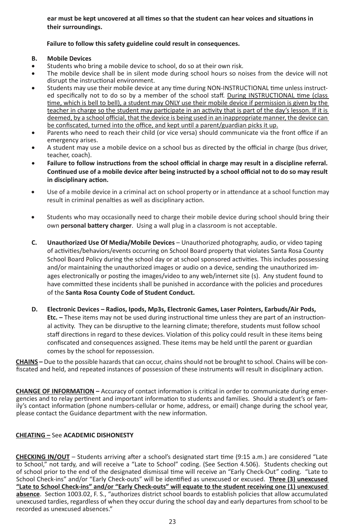**ear must be kept uncovered at all times so that the student can hear voices and situations in their surroundings.** 

#### **Failure to follow this safety guideline could result in consequences.**

#### **B. Mobile Devices**

- Students who bring a mobile device to school, do so at their own risk.
- The mobile device shall be in silent mode during school hours so noises from the device will not disrupt the instructional environment.
- Students may use their mobile device at any time during NON-INSTRUCTIONAL time unless instructed specifically not to do so by a member of the school staff. During INSTRUCTIONAL time (class time, which is bell to bell), a student may ONLY use their mobile device if permission is given by the teacher in charge so the student may participate in an activity that is part of the day's lesson. If it is deemed, by a school official, that the device is being used in an inappropriate manner, the device can be confiscated, turned into the office, and kept until a parent/guardian picks it up.
- Parents who need to reach their child (or vice versa) should communicate via the front office if an emergency arises.
- A student may use a mobile device on a school bus as directed by the official in charge (bus driver, teacher, coach).
- Failure to follow instructions from the school official in charge may result in a discipline referral. **Continued use of a mobile device after being instructed by a school official not to do so may result in disciplinary action.**
- Use of a mobile device in a criminal act on school property or in attendance at a school function may result in criminal penalties as well as disciplinary action.
- Students who may occasionally need to charge their mobile device during school should bring their own **personal battery charger**. Using a wall plug in a classroom is not acceptable.
- **C. Unauthorized Use Of Media/Mobile Devices** Unauthorized photography, audio, or video taping of activities/behaviors/events occurring on School Board property that violates Santa Rosa County School Board Policy during the school day or at school sponsored activities. This includes possessing and/or maintaining the unauthorized images or audio on a device, sending the unauthorized images electronically or posting the images/video to any web/internet site (s). Any student found to have committed these incidents shall be punished in accordance with the policies and procedures of the **Santa Rosa County Code of Student Conduct.**
- **D. Electronic Devices Radios, Ipods, Mp3s, Electronic Games, Laser Pointers, Earbuds/Air Pods, Etc. –** These items may not be used during instructional time unless they are part of an instructional activity. They can be disruptive to the learning climate; therefore, students must follow school staff directions in regard to these devices. Violation of this policy could result in these items being confiscated and consequences assigned. These items may be held until the parent or guardian comes by the school for repossession.

**CHAINS –** Due to the possible hazards that can occur, chains should not be brought to school. Chains will be confiscated and held, and repeated instances of possession of these instruments will result in disciplinary action.

**CHANGE OF INFORMATION –** Accuracy of contact information is critical in order to communicate during emergencies and to relay pertinent and important information to students and families. Should a student's or family's contact information (phone numbers-cellular or home, address, or email) change during the school year, please contact the Guidance department with the new information.

#### **CHEATING –** See **ACADEMIC DISHONESTY**

**CHECKING IN/OUT** – Students arriving after a school's designated start time (9:15 a.m.) are considered "Late to School," not tardy, and will receive a "Late to School" coding. (See Section 4.506). Students checking out of school prior to the end of the designated dismissal time will receive an "Early Check-Out" coding. "Late to School Check-ins" and/or "Early Check-outs" will be identified as unexcused or excused. **Three (3) unexcused "Late to School Check-ins" and/or "Early Check-outs" will equate to the student receiving one (1) unexcused absence**. Section 1003.02, F. S., "authorizes district school boards to establish policies that allow accumulated unexcused tardies, regardless of when they occur during the school day and early departures from school to be recorded as unexcused absences."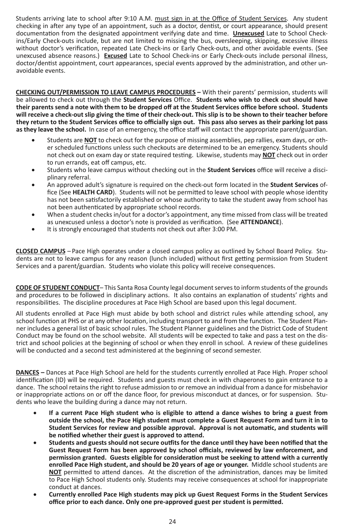Students arriving late to school after 9:10 A.M. must sign in at the Office of Student Services. Any student checking in after any type of an appointment, such as a doctor, dentist, or court appearance, should present documentation from the designated appointment verifying date and time. **Unexcused** Late to School Checkins/Early Check-outs include, but are not limited to missing the bus, oversleeping, skipping, excessive illness without doctor's verification, repeated Late Check-ins or Early Check-outs, and other avoidable events. (See unexcused absence reasons.) **Excused** Late to School Check-ins or Early Check-outs include personal illness, doctor/dentist appointment, court appearances, special events approved by the administration, and other unavoidable events.

**CHECKING OUT/PERMISSION TO LEAVE CAMPUS PROCEDURES –** With their parents' permission, students will be allowed to check out through the **Student Services** Office. **Students who wish to check out should have their parents send a note with them to be dropped off at the Student Services office before school. Students will receive a check-out slip giving the time of their check-out. This slip is to be shown to their teacher before they return to the Student Services office to officially sign out. This pass also serves as their parking lot pass as they leave the school.** In case of an emergency, the office staff will contact the appropriate parent/guardian.

- Students are **NOT** to check out for the purpose of missing assemblies, pep rallies, exam days, or other scheduled functions unless such checkouts are determined to be an emergency. Students should not check out on exam day or state required testing. Likewise, students may **NOT** check out in order to run errands, eat off campus, etc.
- Students who leave campus without checking out in the **Student Services** office will receive a disciplinary referral.
- • An approved adult's signature is required on the check-out form located in the **Student Services** office (See **HEALTH CARD**). Students will not be permitted to leave school with people whose identity has not been satisfactorily established or whose authority to take the student away from school has not been authenticated by appropriate school records.
- When a student checks in/out for a doctor's appointment, any time missed from class will be treated as unexcused unless a doctor's note is provided as verification. (See **ATTENDANCE**).
- It is strongly encouraged that students not check out after 3:00 PM.

**CLOSED CAMPUS** – Pace High operates under a closed campus policy as outlined by School Board Policy. Students are not to leave campus for any reason (lunch included) without first getting permission from Student Services and a parent/guardian. Students who violate this policy will receive consequences.

**CODE OF STUDENT CONDUCT**– This Santa Rosa County legal document serves to inform students of the grounds and procedures to be followed in disciplinary actions. It also contains an explanation of students' rights and responsibilities. The discipline procedures at Pace High School are based upon this legal document.

All students enrolled at Pace High must abide by both school and district rules while attending school, any school function at PHS or at any other location, including transport to and from the function. The Student Planner includes a general list of basic school rules. The Student Planner guidelines and the District Code of Student Conduct may be found on the school website. All students will be expected to take and pass a test on the district and school policies at the beginning of school or when they enroll in school. A review of these guidelines will be conducted and a second test administered at the beginning of second semester.

**DANCES –** Dances at Pace High School are held for the students currently enrolled at Pace High. Proper school identification (ID) will be required. Students and guests must check in with chaperones to gain entrance to a dance. The school retains the right to refuse admission to or remove an individual from a dance for misbehavior or inappropriate actions on or off the dance floor, for previous misconduct at dances, or for suspension. Students who leave the building during a dance may not return.

- If a current Pace High student who is eligible to attend a dance wishes to bring a guest from **outside the school, the Pace High student must complete a Guest Request Form and turn it in to Student Services for review and possible approval. Approval is not automatic, and students will be notified whether their guest is approved to attend.**
- Students and guests should not secure outfits for the dance until they have been notified that the **Guest Request Form has been approved by school officials, reviewed by law enforcement, and permission granted. Guests eligible for consideration must be seeking to attend with a currently enrolled Pace High student, and should be 20 years of age or younger.** Middle school students are **NOT** permitted to attend dances. At the discretion of the administration, dances may be limited to Pace High School students only. Students may receive consequences at school for inappropriate conduct at dances.
- Currently enrolled Pace High students may pick up Guest Request Forms in the Student Services **office prior to each dance. Only one pre-approved guest per student is permitted.**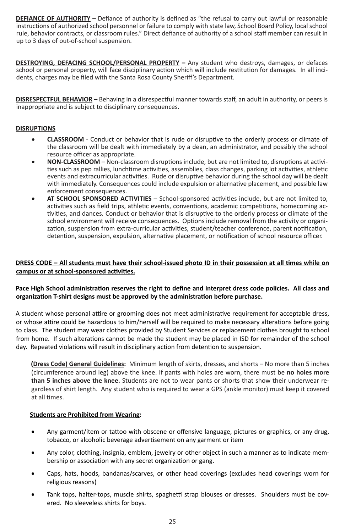**DEFIANCE OF AUTHORITY –** Defiance of authority is defined as "the refusal to carry out lawful or reasonable instructions of authorized school personnel or failure to comply with state law, School Board Policy, local school rule, behavior contracts, or classroom rules." Direct defiance of authority of a school staff member can result in up to 3 days of out-of-school suspension.

**DESTROYING, DEFACING SCHOOL/PERSONAL PROPERTY** - Any student who destroys, damages, or defaces school or personal property, will face disciplinary action which will include restitution for damages. In all incidents, charges may be filed with the Santa Rosa County Sheriff's Department.

**DISRESPECTFUL BEHAVIOR –** Behaving in a disrespectful manner towards staff, an adult in authority, or peers is inappropriate and is subject to disciplinary consequences.

#### **DISRUPTIONS**

- • **CLASSROOM** Conduct or behavior that is rude or disruptive to the orderly process or climate of the classroom will be dealt with immediately by a dean, an administrator, and possibly the school resource officer as appropriate.
- NON-CLASSROOM Non-classroom disruptions include, but are not limited to, disruptions at activities such as pep rallies, lunchtime activities, assemblies, class changes, parking lot activities, athletic events and extracurricular activities. Rude or disruptive behavior during the school day will be dealt with immediately. Consequences could include expulsion or alternative placement, and possible law enforcement consequences.
- • **AT SCHOOL SPONSORED ACTIVITIES** School-sponsored activities include, but are not limited to, activities such as field trips, athletic events, conventions, academic competitions, homecoming activities, and dances. Conduct or behavior that is disruptive to the orderly process or climate of the school environment will receive consequences. Options include removal from the activity or organization, suspension from extra-curricular activities, student/teacher conference, parent notification, detention, suspension, expulsion, alternative placement, or notification of school resource officer.

#### **DRESS CODE – All students must have their school-issued photo ID in their possession at all times while on campus or at school-sponsored activities.**

#### **Pace High School administration reserves the right to define and interpret dress code policies. All class and organization T-shirt designs must be approved by the administration before purchase.**

A student whose personal attire or grooming does not meet administrative requirement for acceptable dress, or whose attire could be hazardous to him/herself will be required to make necessary alterations before going to class. The student may wear clothes provided by Student Services or replacement clothes brought to school from home. If such alterations cannot be made the student may be placed in ISD for remainder of the school day. Repeated violations will result in disciplinary action from detention to suspension.

**(Dress Code) General Guidelines:** Minimum length of skirts, dresses, and shorts – No more than 5 inches (circumference around leg) above the knee. If pants with holes are worn, there must be **no holes more than 5 inches above the knee.** Students are not to wear pants or shorts that show their underwear regardless of shirt length. Any student who is required to wear a GPS (ankle monitor) must keep it covered at all times.

#### **Students are Prohibited from Wearing:**

- Any garment/item or tattoo with obscene or offensive language, pictures or graphics, or any drug, tobacco, or alcoholic beverage advertisement on any garment or item
- Any color, clothing, insignia, emblem, jewelry or other object in such a manner as to indicate membership or association with any secret organization or gang.
- Caps, hats, hoods, bandanas/scarves, or other head coverings (excludes head coverings worn for religious reasons)
- Tank tops, halter-tops, muscle shirts, spaghetti strap blouses or dresses. Shoulders must be covered. No sleeveless shirts for boys.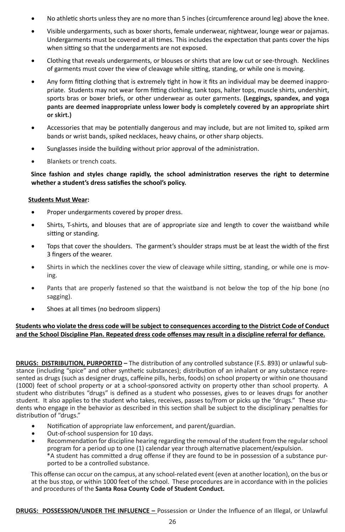- No athletic shorts unless they are no more than 5 inches (circumference around leg) above the knee.
- Visible undergarments, such as boxer shorts, female underwear, nightwear, lounge wear or pajamas. Undergarments must be covered at all times. This includes the expectation that pants cover the hips when sitting so that the undergarments are not exposed.
- • Clothing that reveals undergarments, or blouses or shirts that are low cut or see-through.  Necklines of garments must cover the view of cleavage while sitting, standing, or while one is moving.
- Any form fitting clothing that is extremely tight in how it fits an individual may be deemed inappropriate. Students may not wear form fitting clothing, tank tops, halter tops, muscle shirts, undershirt, sports bras or boxer briefs, or other underwear as outer garments. **(Leggings, spandex, and yoga pants are deemed inappropriate unless lower body is completely covered by an appropriate shirt or skirt.)**
- Accessories that may be potentially dangerous and may include, but are not limited to, spiked arm bands or wrist bands, spiked necklaces, heavy chains, or other sharp objects.
- Sunglasses inside the building without prior approval of the administration.
- Blankets or trench coats.

#### **Since fashion and styles change rapidly, the school administration reserves the right to determine whether a student's dress satisfies the school's policy.**

#### **Students Must Wear:**

- Proper undergarments covered by proper dress.
- Shirts, T-shirts, and blouses that are of appropriate size and length to cover the waistband while sitting or standing.
- Tops that cover the shoulders. The garment's shoulder straps must be at least the width of the first 3 fingers of the wearer.
- Shirts in which the necklines cover the view of cleavage while sitting, standing, or while one is moving.
- Pants that are properly fastened so that the waistband is not below the top of the hip bone (no sagging).
- Shoes at all times (no bedroom slippers)

#### **Students who violate the dress code will be subject to consequences according to the District Code of Conduct and the School Discipline Plan. Repeated dress code offenses may result in a discipline referral for defiance.**

**DRUGS: DISTRIBUTION, PURPORTED –** The distribution of any controlled substance (F.S. 893) or unlawful substance (including "spice" and other synthetic substances); distribution of an inhalant or any substance represented as drugs (such as designer drugs, caffeine pills, herbs, foods) on school property or within one thousand (1000) feet of school property or at a school-sponsored activity on property other than school property. A student who distributes "drugs" is defined as a student who possesses, gives to or leaves drugs for another student. It also applies to the student who takes, receives, passes to/from or picks up the "drugs." These students who engage in the behavior as described in this section shall be subject to the disciplinary penalties for distribution of "drugs."

- Notification of appropriate law enforcement, and parent/guardian.
- • Out-of-school suspension for 10 days.
- • Recommendation for discipline hearing regarding the removal of the student from the regular school program for a period up to one (1) calendar year through alternative placement/expulsion. \*A student has committed a drug offense if they are found to be in possession of a substance purported to be a controlled substance.

This offense can occur on the campus, at any school-related event (even at another location), on the bus or at the bus stop, or within 1000 feet of the school. These procedures are in accordance with in the policies and procedures of the **Santa Rosa County Code of Student Conduct.**

**DRUGS: POSSESSION/UNDER THE INFLUENCE –** Possession or Under the Influence of an Illegal, or Unlawful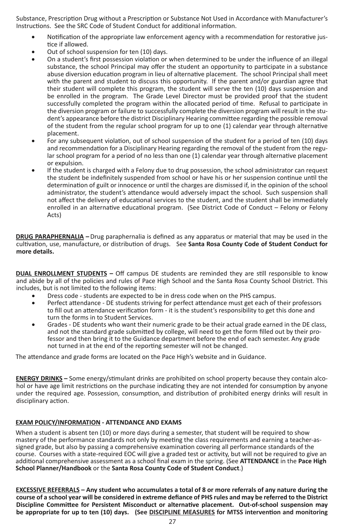Substance, Prescription Drug without a Prescription or Substance Not Used in Accordance with Manufacturer's Instructions. See the SRC Code of Student Conduct for additional information.

- Notification of the appropriate law enforcement agency with a recommendation for restorative justice if allowed.
- Out of school suspension for ten (10) days.
- On a student's first possession violation or when determined to be under the influence of an illegal substance, the school Principal may offer the student an opportunity to participate in a substance abuse diversion education program in lieu of alternative placement. The school Principal shall meet with the parent and student to discuss this opportunity. If the parent and/or guardian agree that their student will complete this program, the student will serve the ten (10) days suspension and be enrolled in the program. The Grade Level Director must be provided proof that the student successfully completed the program within the allocated period of time. Refusal to participate in the diversion program or failure to successfully complete the diversion program will result in the student's appearance before the district Disciplinary Hearing committee regarding the possible removal of the student from the regular school program for up to one (1) calendar year through alternative placement.
- For any subsequent violation, out of school suspension of the student for a period of ten (10) days and recommendation for a Disciplinary Hearing regarding the removal of the student from the regular school program for a period of no less than one (1) calendar year through alternative placement or expulsion.
- If the student is charged with a Felony due to drug possession, the school administrator can request the student be indefinitely suspended from school or have his or her suspension continue until the determination of guilt or innocence or until the charges are dismissed if, in the opinion of the school administrator, the student's attendance would adversely impact the school. Such suspension shall not affect the delivery of educational services to the student, and the student shall be immediately enrolled in an alternative educational program. (See District Code of Conduct – Felony or Felony Acts)

**DRUG PARAPHERNALIA –**Drug paraphernalia is defined as any apparatus or material that may be used in the cultivation, use, manufacture, or distribution of drugs. See **Santa Rosa County Code of Student Conduct for more details.**

**DUAL ENROLLMENT STUDENTS –** Off campus DE students are reminded they are still responsible to know and abide by all of the policies and rules of Pace High School and the Santa Rosa County School District. This includes, but is not limited to the following items:

- Dress code students are expected to be in dress code when on the PHS campus.
- Perfect attendance DE students striving for perfect attendance must get each of their professors to fill out an attendance verification form - it is the student's responsibility to get this done and turn the forms in to Student Services.
- Grades DE students who want their numeric grade to be their actual grade earned in the DE class, and not the standard grade submitted by college, will need to get the form filled out by their professor and then bring it to the Guidance department before the end of each semester. Any grade not turned in at the end of the reporting semester will not be changed.

The attendance and grade forms are located on the Pace High's website and in Guidance.

**ENERGY DRINKS –** Some energy/stimulant drinks are prohibited on school property because they contain alcohol or have age limit restrictions on the purchase indicating they are not intended for consumption by anyone under the required age. Possession, consumption, and distribution of prohibited energy drinks will result in disciplinary action.

#### **EXAM POLICY/INFORMATION - ATTENDANCE AND EXAMS**

When a student is absent ten (10) or more days during a semester, that student will be required to show mastery of the performance standards not only by meeting the class requirements and earning a teacher-assigned grade, but also by passing a comprehensive examination covering all performance standards of the course. Courses with a state-required EOC will give a graded test or activity, but will not be required to give an additional comprehensive assessment as a school final exam in the spring. (See **ATTENDANCE** in the **Pace High School Planner/Handbook** or the **Santa Rosa County Code of Student Conduct**.)

**EXCESSIVE REFERRALS – Any student who accumulates a total of 8 or more referrals of any nature during the course of a school year will be considered in extreme defiance of PHS rules and may be referred to the District Discipline Committee for Persistent Misconduct or alternative placement. Out-of-school suspension may be appropriate for up to ten (10) days. (See DISCIPLINE MEASURES for MTSS intervention and monitoring**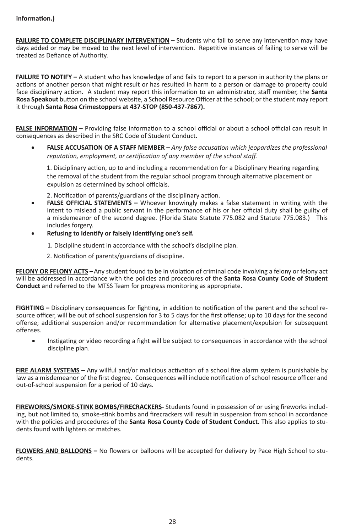**FAILURE TO COMPLETE DISCIPLINARY INTERVENTION –** Students who fail to serve any intervention may have days added or may be moved to the next level of intervention. Repetitive instances of failing to serve will be treated as Defiance of Authority.

**FAILURE TO NOTIFY** – A student who has knowledge of and fails to report to a person in authority the plans or actions of another person that might result or has resulted in harm to a person or damage to property could face disciplinary action. A student may report this information to an administrator, staff member, the **Santa Rosa Speakout** button on the school website, a School Resource Officer at the school; or the student may report it through **Santa Rosa Crimestoppers at 437-STOP (850-437-7867).** 

**FALSE INFORMATION –** Providing false information to a school official or about a school official can result in consequences as described in the SRC Code of Student Conduct.

**FALSE ACCUSATION OF A STAFF MEMBER** – *Any false accusation which jeopardizes the professional reputation, employment, or certification of any member of the school staff.*

1. Disciplinary action, up to and including a recommendation for a Disciplinary Hearing regarding the removal of the student from the regular school program through alternative placement or expulsion as determined by school officials.

2. Notification of parents/guardians of the disciplinary action.

- **FALSE OFFICIAL STATEMENTS –** Whoever knowingly makes a false statement in writing with the intent to mislead a public servant in the performance of his or her official duty shall be guilty of a misdemeanor of the second degree. (Florida State Statute 775.082 and Statute 775.083.)This includes forgery.
- Refusing to identify or falsely identifying one's self.
	- 1. Discipline student in accordance with the school's discipline plan.
	- 2. Notification of parents/guardians of discipline.

**FELONY OR FELONY ACTS –**Any student found to be in violation of criminal code involving a felony or felony act will be addressed in accordance with the policies and procedures of the **Santa Rosa County Code of Student Conduct** and referred to the MTSS Team for progress monitoring as appropriate.

**FIGHTING –** Disciplinary consequences for fighting, in addition to notification of the parent and the school resource officer, will be out of school suspension for 3 to 5 days for the first offense; up to 10 days for the second offense; additional suspension and/or recommendation for alternative placement/expulsion for subsequent offenses.

Instigating or video recording a fight will be subject to consequences in accordance with the school discipline plan.

**FIRE ALARM SYSTEMS –** Any willful and/or malicious activation of a school fire alarm system is punishable by law as a misdemeanor of the first degree. Consequences will include notification of school resource officer and out-of-school suspension for a period of 10 days.

**FIREWORKS/SMOKE-STINK BOMBS/FIRECRACKERS-** Students found in possession of or using fireworks including, but not limited to, smoke-stink bombs and firecrackers will result in suspension from school in accordance with the policies and procedures of the **Santa Rosa County Code of Student Conduct.** This also applies to students found with lighters or matches.

**FLOWERS AND BALLOONS –** No flowers or balloons will be accepted for delivery by Pace High School to students.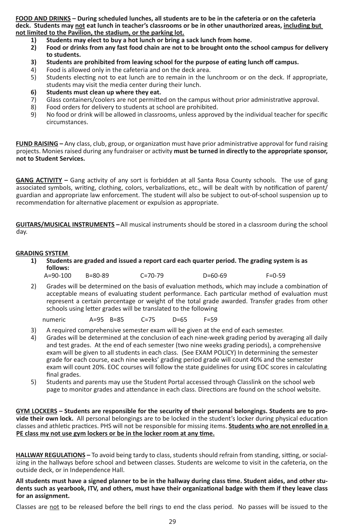**FOOD AND DRINKS – During scheduled lunches, all students are to be in the cafeteria or on the cafeteria deck. Students may not eat lunch in teacher's classrooms or be in other unauthorized areas, including but not limited to the Pavilion, the stadium, or the parking lot.**

- **1) Students may elect to buy a hot lunch or bring a sack lunch from home.**
- **2) Food or drinks from any fast food chain are not to be brought onto the school campus for delivery to students.**
- **3) Students are prohibited from leaving school for the purpose of eating lunch off campus.**
- 4) Food is allowed only in the cafeteria and on the deck area.<br>5) Students electing not to eat lunch are to remain in the lu
- 5) Students electing not to eat lunch are to remain in the lunchroom or on the deck. If appropriate, students may visit the media center during their lunch.
- **6) Students must clean up where they eat.**
- Glass containers/coolers are not permitted on the campus without prior administrative approval.
- 8) Food orders for delivery to students at school are prohibited.<br>9) No food or drink will be allowed in classrooms, unless approve
- No food or drink will be allowed in classrooms, unless approved by the individual teacher for specific circumstances.

**FUND RAISING –** Any class, club, group, or organization must have prior administrative approval for fund raising projects. Monies raised during any fundraiser or activity **must be turned in directly to the appropriate sponsor, not to Student Services.**

**GANG ACTIVITY –** Gang activity of any sort is forbidden at all Santa Rosa County schools. The use of gang associated symbols, writing, clothing, colors, verbalizations, etc., will be dealt with by notification of parent/ guardian and appropriate law enforcement. The student will also be subject to out-of-school suspension up to recommendation for alternative placement or expulsion as appropriate.

**GUITARS/MUSICAL INSTRUMENTS –**All musical instruments should be stored in a classroom during the school day.

#### **GRADING SYSTEM**

- **1) Students are graded and issued a report card each quarter period. The grading system is as follows:**<br>A=90-100
- A=90-100 B=80-89 C=70-79 D=60-69 F=0-59
	- 2) Grades will be determined on the basis of evaluation methods, which may include a combination of acceptable means of evaluating student performance. Each particular method of evaluation must represent a certain percentage or weight of the total grade awarded. Transfer grades from other schools using letter grades will be translated to the following

numeric A=95 B=85 C=75 D=65 F=59

- 3) A required comprehensive semester exam will be given at the end of each semester.
- 4) Grades will be determined at the conclusion of each nine-week grading period by averaging all daily and test grades. At the end of each semester (two nine weeks grading periods), a comprehensive exam will be given to all students in each class. (See EXAM POLICY) In determining the semester grade for each course, each nine weeks' grading period grade will count 40% and the semester exam will count 20%. EOC courses will follow the state guidelines for using EOC scores in calculating final grades.
- 5) Students and parents may use the Student Portal accessed through Classlink on the school web page to monitor grades and attendance in each class. Directions are found on the school website.

**GYM LOCKERS – Students are responsible for the security of their personal belongings. Students are to provide their own lock.** All personal belongings are to be locked in the student's locker during physical education classes and athletic practices. PHS will not be responsible for missing items. **Students who are not enrolled in a PE class my not use gym lockers or be in the locker room at any time.**

**HALLWAY REGULATIONS –** To avoid being tardy to class, students should refrain from standing, sitting, or socializing in the hallways before school and between classes. Students are welcome to visit in the cafeteria, on the outside deck, or in Independence Hall.

**All students must have a signed planner to be in the hallway during class time. Student aides, and other students such as yearbook, ITV, and others, must have their organizational badge with them if they leave class for an assignment.**

Classes are not to be released before the bell rings to end the class period. No passes will be issued to the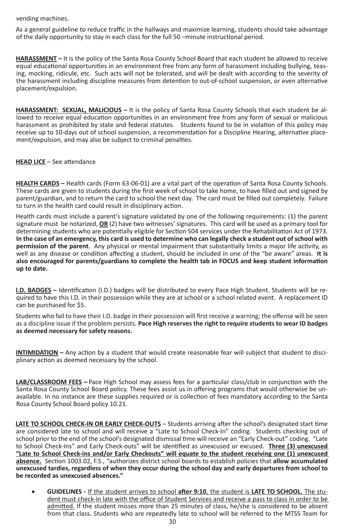vending machines.

As a general guideline to reduce traffic in the hallways and maximize learning, students should take advantage of the daily opportunity to stay in each class for the full 50 –minute instructional period.

**HARASSMENT –** It is the policy of the Santa Rosa County School Board that each student be allowed to receive equal educational opportunities in an environment free from any form of harassment including bullying, teasing, mocking, ridicule, etc. Such acts will not be tolerated, and will be dealt with according to the severity of the harassment including discipline measures from detention to out-of-school suspension, or even alternative placement/expulsion.

**HARASSMENT: SEXUAL, MALICIOUS –** It is the policy of Santa Rosa County Schools that each student be allowed to receive equal education opportunities in an environment free from any form of sexual or malicious harassment as prohibited by state and federal statutes. Students found to be in violation of this policy may receive up to 10-days out of school suspension, a recommendation for a Discipline Hearing, alternative placement/expulsion, and may also be subject to criminal penalties.

#### **HEAD LICE** – See attendance

**HEALTH CARDS –** Health cards (Form 63-06-01) are a vital part of the operation of Santa Rosa County Schools. These cards are given to students during the first week of school to take home, to have filled out and signed by parent/guardian, and to return the card to school the next day. The card must be filled out completely. Failure to turn in the health card could result in disciplinary action.

Health cards must include a parent's signature validated by one of the following requirements: (1) the parent signature must be notarized, **OR** (2) have two witnesses' signatures. This card will be used as a primary tool for determining students who are potentially eligible for Section 504 services under the Rehabilitation Act of 1973. **In the case of an emergency, this card is used to determine who can legally check a student out of school with permission of the parent**. Any physical or mental impairment that substantially limits a major life activity, as well as any disease or condition affecting a student, should be included in one of the "be aware" areas. **It is also encouraged for parents/guardians to complete the health tab in FOCUS and keep student information up to date.**

**I.D. BADGES –** Identification (I.D.) badges will be distributed to every Pace High Student. Students will be required to have this I.D. in their possession while they are at school or a school related event. A replacement ID can be purchased for \$5.

Students who fail to have their I.D. badge in their possession will first receive a warning; the offense will be seen as a discipline issue if the problem persists. **Pace High reserves the right to require students to wear ID badges as deemed necessary for safety reasons.**

**INTIMIDATION –** Any action by a student that would create reasonable fear will subject that student to disciplinary action as deemed necessary by the school.

**LAB/CLASSROOM FEES –** Pace High School may assess fees for a particular class/club in conjunction with the Santa Rosa County School Board policy. These fees assist us in offering programs that would otherwise be unavailable. In no instance are these supplies required or is collection of fees mandatory according to the Santa Rosa County School Board policy 10.21.

**LATE TO SCHOOL CHECK-IN OR EARLY CHECK-OUTS** – Students arriving after the school's designated start time are considered late to school and will receive a "Late to School Check-In" coding. Students checking out of school prior to the end of the school's designated dismissal time will receive an "Early Check-out" coding. "Late to School Check-Ins" and Early Check-outs" will be identified as unexcused or excused. **Three (3) unexcused "Late to School Check-ins and/or Early Checkouts" will equate to the student receiving one (1) unexcused absence.** Section 1003.02, F.S., "authorizes district school boards to establish policies that **allow accumulated unexcused tardies, regardless of when they occur during the school day and early departures from school to be recorded as unexcused absences."**

• **GUIDELINES -** If the student arrives to school **after 9:10**, the student is **LATE TO SCHOOL.** The student must check-in late with the office of Student Services and receive a pass to class in order to be admitted. If the student misses more than 25 minutes of class, he/she is considered to be absent from that class. Students who are repeatedly late to school will be referred to the MTSS Team for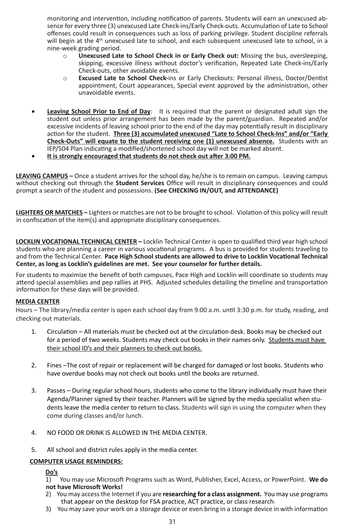monitoring and intervention, including notification of parents. Students will earn an unexcused absence for every three (3) unexcused Late Check-ins/Early Check-outs. Accumulation of Late to School offenses could result in consequences such as loss of parking privilege. Student discipline referrals will begin at the 4<sup>th</sup> unexcused late to school, and each subsequent unexcused late to school, in a nine-week grading period.

- o **Unexcused Late to School Check in or Early Check out:** Missing the bus, oversleeping, skipping, excessive illness without doctor's verification, Repeated Late Check-ins/Early Check-outs, other avoidable events.
- o **Excused Late to School Check-**ins or Early Checkouts: Personal illness, Doctor/Dentist appointment, Court appearances, Special event approved by the administration, other unavoidable events.
- **Leaving School Prior to End of Day**: It is required that the parent or designated adult sign the student out unless prior arrangement has been made by the parent/guardian. Repeated and/or excessive incidents of leaving school prior to the end of the day may potentially result in disciplinary action for the student. **Three (3) accumulated unexcused "Late to School Check-Ins" and/or "Early Check-Outs" will equate to the student receiving one (1) unexcused absence.** Students with an IEP/504 Plan indicating a modified/shortened school day will not be marked absent.
- • **It is strongly encouraged that students do not check out after 3:00 PM.**

**LEAVING CAMPUS –** Once a student arrives for the school day, he/she is to remain on campus. Leaving campus without checking out through the **Student Services** Office will result in disciplinary consequences and could prompt a search of the student and possessions. **(See CHECKING IN/OUT, and ATTENDANCE)**

**LIGHTERS OR MATCHES –** Lighters or matches are not to be brought to school. Violation of this policy will result in confiscation of the item(s) and appropriate disciplinary consequences.

**LOCKLIN VOCATIONAL TECHNICAL CENTER –** Locklin Technical Center is open to qualified third year high school students who are planning a career in various vocational programs. A bus is provided for students traveling to and from the Technical Center. **Pace High School students are allowed to drive to Locklin Vocational Technical Center, as long as Locklin's guidelines are met. See your counselor for further details.** 

For students to maximize the benefit of both campuses, Pace High and Locklin will coordinate so students may attend special assemblies and pep rallies at PHS. Adjusted schedules detailing the timeline and transportation information for these days will be provided.

#### **MEDIA CENTER**

Hours – The library/media center is open each school day from 9:00 a.m. until 3:30 p.m. for study, reading, and checking out materials.

- 1. Circulation All materials must be checked out at the circulation desk. Books may be checked out for a period of two weeks. Students may check out books in their names only. Students must have their school ID's and their planners to check out books.
- 2. Fines –The cost of repair or replacement will be charged for damaged or lost books. Students who have overdue books may not check out books until the books are returned.
- 3. Passes During regular school hours, students who come to the library individually must have their Agenda/Planner signed by their teacher. Planners will be signed by the media specialist when students leave the media center to return to class. Students will sign in using the computer when they come during classes and/or lunch.
- 4. NO FOOD OR DRINK IS ALLOWED IN THE MEDIA CENTER.
- 5. All school and district rules apply in the media center.

#### **COMPUTER USAGE REMINDERS:**

**Do's**

1) You may use Microsoft Programs such as Word, Publisher, Excel, Access, or PowerPoint. **We do not have Microsoft Works!**

- 2) You may access the Internet if you are **researching for a class assignment.** You may use programs that appear on the desktop for FSA practice, ACT practice, or class research.
- 3) You may save your work on a storage device or even bring in a storage device in with information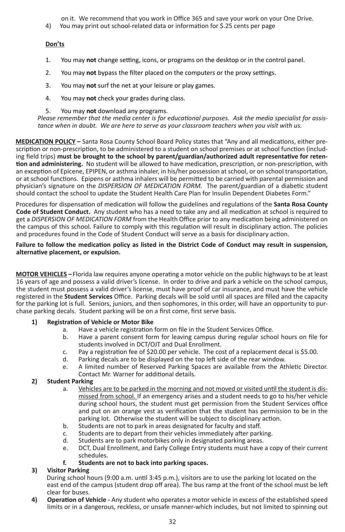on it. We recommend that you work in Office 365 and save your work on your One Drive.

4) You may print out school-related data or information for \$.25 cents per page

#### **Don'ts**

- 1. You may **not** change setting, icons, or programs on the desktop or in the control panel.
- 2. You may **not** bypass the filter placed on the computers or the proxy settings.
- 3. You may **not** surf the net at your leisure or play games.
- 4. You may **not** check your grades during class.
- 5. You may **not** download any programs.

*Please remember that the media center is for educational purposes. Ask the media specialist for assistance when in doubt. We are here to serve as your classroom teachers when you visit with us.* 

**MEDICATION POLICY –** Santa Rosa County School Board Policy states that "Any and all medications, either prescription or non-prescription, to be administered to a student on school premises or at school function (including field trips) **must be brought to the school by parent/guardian/authorized adult representative for retention and administering.** No student will be allowed to have medication, prescription, or non-prescription, with an exception of Epicene, EPIPEN, or asthma inhaler, in his/her possession at school, or on school transportation, or at school functions. Epipens or asthma inhalers will be permitted to be carried with parental permission and physician's signature on the *DISPERSION OF MEDICATION FORM.* The parent/guardian of a diabetic student should contact the school to update the Student Health Care Plan for Insulin Dependent Diabetes Form."

Procedures for dispensation of medication will follow the guidelines and regulations of the **Santa Rosa County Code of Student Conduct.** Any student who has a need to take any and all medication at school is required to get a *DISPERSION OF MEDICATION FORM* from the Health Office prior to any medication being administered on the campus of this school. Failure to comply with this regulation will result in disciplinary action. The policies and procedures found in the Code of Student Conduct will serve as a basis for disciplinary action.

#### **Failure to follow the medication policy as listed in the District Code of Conduct may result in suspension, alternative placement, or expulsion.**

**MOTOR VEHICLES –**Florida law requires anyone operating a motor vehicle on the public highways to be at least 16 years of age and possess a valid driver's license. In order to drive and park a vehicle on the school campus, the student must possess a valid driver's license, must have proof of car insurance, and must have the vehicle registered in the **Student Services** Office. Parking decals will be sold until all spaces are filled and the capacity for the parking lot is full. Seniors, juniors, and then sophomores, in this order, will have an opportunity to purchase parking decals. Student parking will be on a first come, first serve basis.

#### **1) Registration of Vehicle or Motor Bike**

- a. Have a vehicle registration form on file in the Student Services Office.
- b. Have a parent consent form for leaving campus during regular school hours on file for students involved in DCT/OJT and Dual Enrollment.
- c. Pay a registration fee of \$20.00 per vehicle. The cost of a replacement decal is \$5.00.<br>d. Parking decals are to be displayed on the top left side of the rear window.
- Parking decals are to be displayed on the top left side of the rear window.
- e. A limited number of Reserved Parking Spaces are available from the Athletic Director. Contact Mr. Warner for additional details.

#### **2) Student Parking**

- a. Vehicles are to be parked in the morning and not moved or visited until the student is dismissed from school. If an emergency arises and a student needs to go to his/her vehicle during school hours, the student must get permission from the Student Services office and put on an orange vest as verification that the student has permission to be in the parking lot. Otherwise the student will be subject to disciplinary action.
- b. Students are not to park in areas designated for faculty and staff.
- c. Students are to depart from their vehicles immediately after parking.<br>d. Students are to park motorbikes only in designated parking areas.
- Students are to park motorbikes only in designated parking areas.
- e. DCT, Dual Enrollment, and Early College Entry students must have a copy of their current schedules.

#### **f. Students are not to back into parking spaces.**

#### **3) Visitor Parking**

During school hours (9:00 a.m. until 3:45 p.m.), visitors are to use the parking lot located on the east end of the campus (student drop off area). The bus ramp at the front of the school must be left clear for buses.

**4) Operation of Vehicle -** Any student who operates a motor vehicle in excess of the established speed limits or in a dangerous, reckless, or unsafe manner-which includes, but not limited to spinning out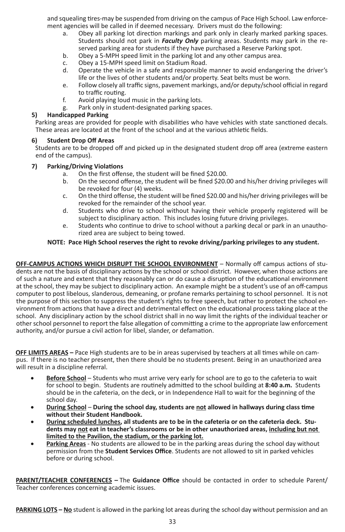and squealing tires-may be suspended from driving on the campus of Pace High School. Law enforcement agencies will be called in if deemed necessary. Drivers must do the following:

- a. Obey all parking lot direction markings and park only in clearly marked parking spaces. Students should not park in *Faculty Only* parking areas. Students may park in the reserved parking area for students if they have purchased a Reserve Parking spot.
- b. Obey a 5-MPH speed limit in the parking lot and any other campus area.
- c. Obey a 15-MPH speed limit on Stadium Road.<br>d. Operate the vehicle in a safe and responsible.
- d. Operate the vehicle in a safe and responsible manner to avoid endangering the driver's life or the lives of other students and/or property. Seat belts must be worn.
- e. Follow closely all traffic signs, pavement markings, and/or deputy/school official in regard to traffic routing.
- f. Avoid playing loud music in the parking lots.
- g. Park only in student-designated parking spaces.

#### **5) Handicapped Parking**

Parking areas are provided for people with disabilities who have vehicles with state sanctioned decals. These areas are located at the front of the school and at the various athletic fields.

#### **6) Student Drop Off Areas**

Students are to be dropped off and picked up in the designated student drop off area (extreme eastern end of the campus).

#### **7) Parking/Driving Violations**

- a. On the first offense, the student will be fined \$20.00.
- b. On the second offense, the student will be fined \$20.00 and his/her driving privileges will be revoked for four (4) weeks.
- c. On the third offense, the student will be fined \$20.00 and his/her driving privileges will be revoked for the remainder of the school year.
- d. Students who drive to school without having their vehicle properly registered will be subject to disciplinary action. This includes losing future driving privileges.
- e. Students who continue to drive to school without a parking decal or park in an unauthorized area are subject to being towed.

#### **NOTE: Pace High School reserves the right to revoke driving/parking privileges to any student.**

**OFF-CAMPUS ACTIONS WHICH DISRUPT THE SCHOOL ENVIRONMENT** – Normally off campus actions of students are not the basis of disciplinary actions by the school or school district. However, when those actions are of such a nature and extent that they reasonably can or do cause a disruption of the educational environment at the school, they may be subject to disciplinary action. An example might be a student's use of an off-campus computer to post libelous, slanderous, demeaning, or profane remarks pertaining to school personnel. It is not the purpose of this section to suppress the student's rights to free speech, but rather to protect the school environment from actions that have a direct and detrimental effect on the educational process taking place at the school. Any disciplinary action by the school district shall in no way limit the rights of the individual teacher or other school personnel to report the false allegation of committing a crime to the appropriate law enforcement authority, and/or pursue a civil action for libel, slander, or defamation.

**OFF LIMITS AREAS –** Pace High students are to be in areas supervised by teachers at all times while on campus. If there is no teacher present, then there should be no students present. Being in an unauthorized area will result in a discipline referral.

- Before School Students who must arrive very early for school are to go to the cafeteria to wait for school to begin. Students are routinely admitted to the school building at **8:40 a.m.** Students should be in the cafeteria, on the deck, or in Independence Hall to wait for the beginning of the school day.
- • **During School During the school day, students are not allowed in hallways during class time without their Student Handbook.**
- During scheduled lunches, all students are to be in the cafeteria or on the cafeteria deck. Stu**dents may not eat in teacher's classrooms or be in other unauthorized areas, including but not limited to the Pavilion, the stadium, or the parking lot.**
- Parking Areas No students are allowed to be in the parking areas during the school day without permission from the **Student Services Office**. Students are not allowed to sit in parked vehicles before or during school.

**PARENT/TEACHER CONFERENCES –** The **Guidance Office** should be contacted in order to schedule Parent/ Teacher conferences concerning academic issues.

**PARKING LOTS – No** student is allowed in the parking lot areas during the school day without permission and an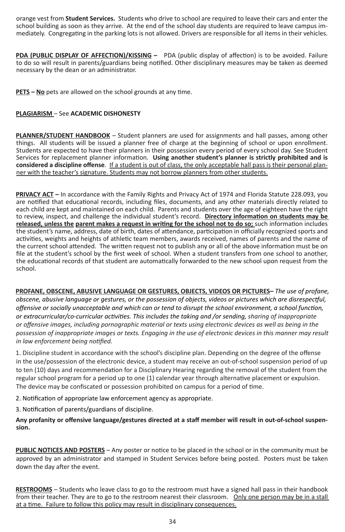orange vest from **Student Services.** Students who drive to school are required to leave their cars and enter the school building as soon as they arrive. At the end of the school day students are required to leave campus immediately. Congregating in the parking lots is not allowed. Drivers are responsible for all items in their vehicles.

**PDA (PUBLIC DISPLAY OF AFFECTION)/KISSING –** PDA (public display of affection) is to be avoided. Failure to do so will result in parents/guardians being notified. Other disciplinary measures may be taken as deemed necessary by the dean or an administrator.

**PETS – No** pets are allowed on the school grounds at any time.

#### **PLAGIARISM** – See **ACADEMIC DISHONESTY**

**PLANNER/STUDENT HANDBOOK** – Student planners are used for assignments and hall passes, among other things. All students will be issued a planner free of charge at the beginning of school or upon enrollment. Students are expected to have their planners in their possession every period of every school day. See Student Services for replacement planner information. **Using another student's planner is strictly prohibited and is considered a discipline offense**. If a student is out of class, the only acceptable hall pass is their personal planner with the teacher's signature. Students may not borrow planners from other students.

**PRIVACY ACT –** In accordance with the Family Rights and Privacy Act of 1974 and Florida Statute 228.093, you are notified that educational records, including files, documents, and any other materials directly related to each child are kept and maintained on each child. Parents and students over the age of eighteen have the right to review, inspect, and challenge the individual student's record. **Directory information on students may be released, unless the parent makes a request in writing for the school not to do so;** such information includes the student's name, address, date of birth, dates of attendance, participation in officially recognized sports and activities, weights and heights of athletic team members, awards received, names of parents and the name of the current school attended. The written request not to publish any or all of the above information must be on file at the student's school by the first week of school. When a student transfers from one school to another, the educational records of that student are automatically forwarded to the new school upon request from the school.

**PROFANE, OBSCENE, ABUSIVE LANGUAGE OR GESTURES, OBJECTS, VIDEOS OR PICTURES–** *The use of profane, obscene, abusive language or gestures, or the possession of objects, videos or pictures which are disrespectful, offensive or socially unacceptable and which can or tend to disrupt the school environment, a school function, or extracurricular/co-curricular activities. This includes the taking and /or sending, sharing of inappropriate or offensive images, including pornographic material or texts using electronic devices as well as being in the possession of inappropriate images or texts. Engaging in the use of electronic devices in this manner may result in law enforcement being notified.*

1. Discipline student in accordance with the school's discipline plan. Depending on the degree of the offense in the use/possession of the electronic device, a student may receive an out-of-school suspension period of up to ten (10) days and recommendation for a Disciplinary Hearing regarding the removal of the student from the regular school program for a period up to one (1) calendar year through alternative placement or expulsion. The device may be confiscated or possession prohibited on campus for a period of time.

2. Notification of appropriate law enforcement agency as appropriate.

3. Notification of parents/guardians of discipline.

**Any profanity or offensive language/gestures directed at a staff member will result in out-of-school suspension.** 

**PUBLIC NOTICES AND POSTERS** – Any poster or notice to be placed in the school or in the community must be approved by an administrator and stamped in Student Services before being posted. Posters must be taken down the day after the event.

**RESTROOMS** – Students who leave class to go to the restroom must have a signed hall pass in their handbook from their teacher. They are to go to the restroom nearest their classroom. Only one person may be in a stall at a time. Failure to follow this policy may result in disciplinary consequences.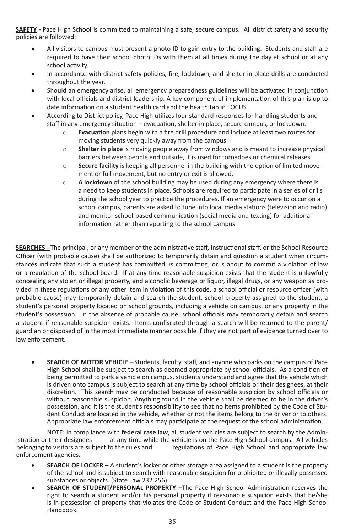**SAFETY -** Pace High School is committed to maintaining a safe, secure campus. All district safety and security policies are followed:

- All visitors to campus must present a photo ID to gain entry to the building. Students and staff are required to have their school photo IDs with them at all times during the day at school or at any school activity.
- In accordance with district safety policies, fire, lockdown, and shelter in place drills are conducted throughout the year.
- Should an emergency arise, all emergency preparedness guidelines will be activated in conjunction with local officials and district leadership. A key component of implementation of this plan is up to date information on a student health card and the health tab in FOCUS.
- According to District policy, Pace High utilizes four standard responses for handling students and staff in any emergency situation – evacuation, shelter in place, secure campus, or lockdown.
	- o **Evacuation** plans begin with a fire drill procedure and include at least two routes for moving students very quickly away from the campus.
	- o **Shelter in place** is moving people away from windows and is meant to increase physical barriers between people and outside, it is used for tornadoes or chemical releases.
	- o **Secure facility** is keeping all personnel in the building with the option of limited movement or full movement, but no entry or exit is allowed.
	- o **A lockdown** of the school building may be used during any emergency where there is a need to keep students in place. Schools are required to participate in a series of drills during the school year to practice the procedures. If an emergency were to occur on a school campus, parents are asked to tune into local media stations (television and radio) and monitor school-based communication (social media and texting) for additional information rather than reporting to the school campus.

**SEARCHES -** The principal, or any member of the administrative staff, instructional staff, or the School Resource Officer (with probable cause) shall be authorized to temporarily detain and question a student when circumstances indicate that such a student has committed, is committing, or is about to commit a violation of law or a regulation of the school board. If at any time reasonable suspicion exists that the student is unlawfully concealing any stolen or illegal property, and alcoholic beverage or liquor, illegal drugs, or any weapon as provided in these regulations or any other item in violation of this code, a school official or resource officer (with probable cause) may temporarily detain and search the student, school property assigned to the student, a student's personal property located on school grounds, including a vehicle on campus, or any property in the student's possession. In the absence of probable cause, school officials may temporarily detain and search a student if reasonable suspicion exists. Items confiscated through a search will be returned to the parent/ guardian or disposed of in the most immediate manner possible if they are not part of evidence turned over to law enforcement.

**SEARCH OF MOTOR VEHICLE** – Students, faculty, staff, and anyone who parks on the campus of Pace High School shall be subject to search as deemed appropriate by school officials. As a condition of being permitted to park a vehicle on campus, students understand and agree that the vehicle which is driven onto campus is subject to search at any time by school officials or their designees, at their discretion. This search may be conducted because of reasonable suspicion by school officials or without reasonable suspicion. Anything found in the vehicle shall be deemed to be in the driver's possession, and it is the student's responsibility to see that no items prohibited by the Code of Student Conduct are located in the vehicle, whether or not the items belong to the driver or to others. Appropriate law enforcement officials may participate at the request of the school administration.

NOTE: In compliance with **federal case law**, all student vehicles are subject to search by the Adminat any time while the vehicle is on the Pace High School campus. All vehicles belonging to visitors are subject to the rules and regulations of Pace High School and appropriate law enforcement agencies.

- **SEARCH OF LOCKER** A student's locker or other storage area assigned to a student is the property of the school and is subject to search with reasonable suspicion for prohibited or illegally possessed substances or objects. (State Law 232.256)
- **SEARCH OF STUDENT/PERSONAL PROPERTY** -The Pace High School Administration reserves the right to search a student and/or his personal property if reasonable suspicion exists that he/she is in possession of property that violates the Code of Student Conduct and the Pace High School Handbook.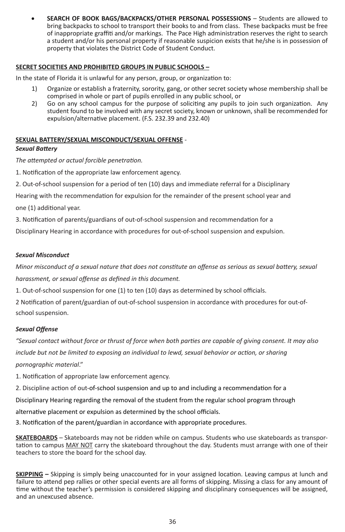**SEARCH OF BOOK BAGS/BACKPACKS/OTHER PERSONAL POSSESSIONS - Students are allowed to** bring backpacks to school to transport their books to and from class. These backpacks must be free of inappropriate graffiti and/or markings. The Pace High administration reserves the right to search a student and/or his personal property if reasonable suspicion exists that he/she is in possession of property that violates the District Code of Student Conduct.

#### **SECRET SOCIETIES AND PROHIBITED GROUPS IN PUBLIC SCHOOLS –**

In the state of Florida it is unlawful for any person, group, or organization to:

- 1) Organize or establish a fraternity, sorority, gang, or other secret society whose membership shall be comprised in whole or part of pupils enrolled in any public school, or
- 2) Go on any school campus for the purpose of soliciting any pupils to join such organization. Any student found to be involved with any secret society, known or unknown, shall be recommended for expulsion/alternative placement. (F.S. 232.39 and 232.40)

#### **SEXUAL BATTERY/SEXUAL MISCONDUCT/SEXUAL OFFENSE** -

#### *Sexual Battery*

*The attempted or actual forcible penetration.*

1. Notification of the appropriate law enforcement agency.

2. Out-of-school suspension for a period of ten (10) days and immediate referral for a Disciplinary

Hearing with the recommendation for expulsion for the remainder of the present school year and one (1) additional year.

3. Notification of parents/guardians of out-of-school suspension and recommendation for a

Disciplinary Hearing in accordance with procedures for out-of-school suspension and expulsion.

#### *Sexual Misconduct*

*Minor misconduct of a sexual nature that does not constitute an offense as serious as sexual battery, sexual harassment, or sexual offense as defined in this document.*

1. Out-of-school suspension for one (1) to ten (10) days as determined by school officials.

2 Notification of parent/guardian of out-of-school suspension in accordance with procedures for out-ofschool suspension.

#### *Sexual Offense*

*"Sexual contact without force or thrust of force when both parties are capable of giving consent. It may also include but not be limited to exposing an individual to lewd, sexual behavior or action, or sharing pornographic material*."

1. Notification of appropriate law enforcement agency.

2. Discipline action of out-of-school suspension and up to and including a recommendation for a

Disciplinary Hearing regarding the removal of the student from the regular school program through

alternative placement or expulsion as determined by the school officials.

3. Notification of the parent/guardian in accordance with appropriate procedures.

**SKATEBOARDS** – Skateboards may not be ridden while on campus. Students who use skateboards as transportation to campus MAY NOT carry the skateboard throughout the day. Students must arrange with one of their teachers to store the board for the school day.

**SKIPPING –** Skipping is simply being unaccounted for in your assigned location. Leaving campus at lunch and failure to attend pep rallies or other special events are all forms of skipping. Missing a class for any amount of time without the teacher's permission is considered skipping and disciplinary consequences will be assigned, and an unexcused absence.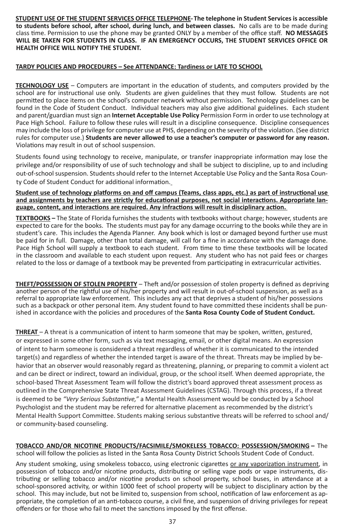**STUDENT USE OF THE STUDENT SERVICES OFFICE TELEPHONE-The telephone in Student Services is accessible to students before school, after school, during lunch, and between classes.** No calls are to be made during class time. Permission to use the phone may be granted ONLY by a member of the office staff. **NO MESSAGES WILL BE TAKEN FOR STUDENTS IN CLASS. IF AN EMERGENCY OCCURS, THE STUDENT SERVICES OFFICE OR HEALTH OFFICE WILL NOTIFY THE STUDENT.**

#### **TARDY POLICIES AND PROCEDURES – See ATTENDANCE: Tardiness or LATE TO SCHOOL**

**TECHNOLOGY USE** – Computers are important in the education of students, and computers provided by the school are for instructional use only. Students are given guidelines that they must follow. Students are not permitted to place items on the school's computer network without permission. Technology guidelines can be found in the Code of Student Conduct. Individual teachers may also give additional guidelines. Each student and parent/guardian must sign an **Internet Acceptable Use Policy** Permission Form in order to use technology at Pace High School. Failure to follow these rules will result in a discipline consequence. Discipline consequences may include the loss of privilege for computer use at PHS, depending on the severity of the violation. (See district rules for computer use.) **Students are never allowed to use a teacher's computer or password for any reason.** Violations may result in out of school suspension.

Students found using technology to receive, manipulate, or transfer inappropriate information may lose the privilege and/or responsibility of use of such technology and shall be subject to discipline, up to and including out-of-school suspension. Students should refer to the Internet Acceptable Use Policy and the Santa Rosa County Code of Student Conduct for additional information.

**Student use of technology platforms on and off campus (Teams, class apps, etc.) as part of instructional use and assignments by teachers are strictly for educational purposes, not social interactions. Appropriate language, content, and interactions are required. Any infractions will result in disciplinary action.** 

**TEXTBOOKS –** The State of Florida furnishes the students with textbooks without charge; however, students are expected to care for the books. The students must pay for any damage occurring to the books while they are in student's care. This includes the Agenda Planner. Any book which is lost or damaged beyond further use must be paid for in full. Damage, other than total damage, will call for a fine in accordance with the damage done. Pace High School will supply a textbook to each student. From time to time these textbooks will be located in the classroom and available to each student upon request. Any student who has not paid fees or charges related to the loss or damage of a textbook may be prevented from participating in extracurricular activities.

**THEFT/POSSESSION OF STOLEN PROPERTY** – Theft and/or possession of stolen property is defined as depriving another person of the rightful use of his/her property and will result in out-of-school suspension, as well as a referral to appropriate law enforcement. This includes any act that deprives a student of his/her possessions such as a backpack or other personal item. Any student found to have committed these incidents shall be punished in accordance with the policies and procedures of the **Santa Rosa County Code of Student Conduct.** 

**THREAT** – A threat is a communication of intent to harm someone that may be spoken, written, gestured, or expressed in some other form, such as via text messaging, email, or other digital means. An expression of intent to harm someone is considered a threat regardless of whether it is communicated to the intended target(s) and regardless of whether the intended target is aware of the threat. Threats may be implied by behavior that an observer would reasonably regard as threatening, planning, or preparing to commit a violent act and can be direct or indirect, toward an individual, group, or the school itself. When deemed appropriate, the school-based Threat Assessment Team will follow the district's board approved threat assessment process as outlined in the Comprehensive State Threat Assessment Guidelines (CSTAG). Through this process, if a threat is deemed to be *"Very Serious Substantive,"* a Mental Health Assessment would be conducted by a School Psychologist and the student may be referred for alternative placement as recommended by the district's Mental Health Support Committee. Students making serious substantive threats will be referred to school and/ or community-based counseling.

**TOBACCO AND/OR NICOTINE PRODUCTS/FACSIMILE/SMOKELESS TOBACCO: POSSESSION/SMOKING –** The school will follow the policies as listed in the Santa Rosa County District Schools Student Code of Conduct.

Any student smoking, using smokeless tobacco, using electronic cigarettes or any vaporization instrument, in possession of tobacco and/or nicotine products, distributing or selling vape pods or vape instruments, distributing or selling tobacco and/or nicotine products on school property, school buses, in attendance at a school-sponsored activity, or within 1000 feet of school property will be subject to disciplinary action by the school. This may include, but not be limited to, suspension from school, notification of law enforcement as appropriate, the completion of an anti-tobacco course, a civil fine, and suspension of driving privileges for repeat offenders or for those who fail to meet the sanctions imposed by the first offense.